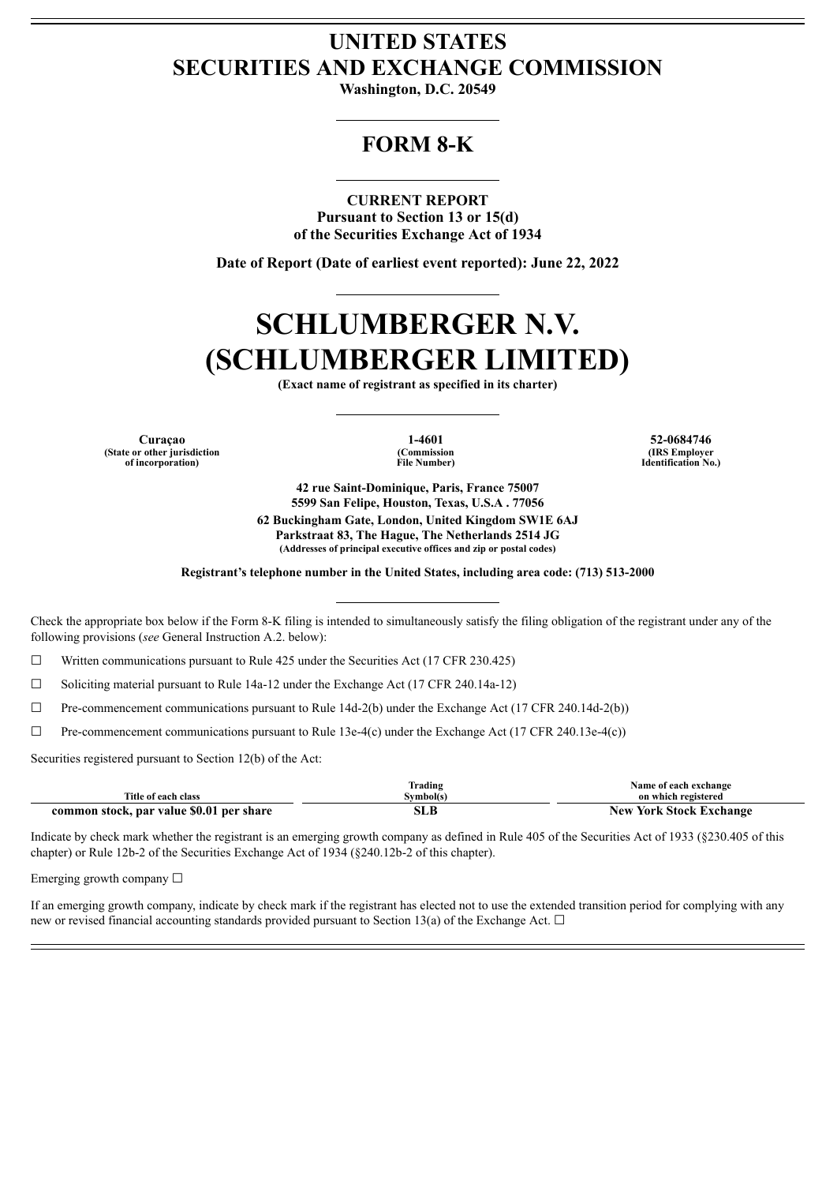## **UNITED STATES SECURITIES AND EXCHANGE COMMISSION**

**Washington, D.C. 20549**

# **FORM 8-K**

**CURRENT REPORT Pursuant to Section 13 or 15(d) of the Securities Exchange Act of 1934**

**Date of Report (Date of earliest event reported): June 22, 2022**

# **SCHLUMBERGER N.V. (SCHLUMBERGER LIMITED)**

**(Exact name of registrant as specified in its charter)**

**Curaçao 1-4601 52-0684746 (State or other jurisdiction of incorporation)**

**(Commission File Number)**

**(IRS Employer Identification No.)**

**42 rue Saint-Dominique, Paris, France 75007 5599 San Felipe, Houston, Texas, U.S.A . 77056 62 Buckingham Gate, London, United Kingdom SW1E 6AJ Parkstraat 83, The Hague, The Netherlands 2514 JG (Addresses of principal executive offices and zip or postal codes)**

**Registrant's telephone number in the United States, including area code: (713) 513-2000**

Check the appropriate box below if the Form 8-K filing is intended to simultaneously satisfy the filing obligation of the registrant under any of the following provisions (*see* General Instruction A.2. below):

 $\Box$  Written communications pursuant to Rule 425 under the Securities Act (17 CFR 230.425)

☐ Soliciting material pursuant to Rule 14a-12 under the Exchange Act (17 CFR 240.14a-12)

☐ Pre-commencement communications pursuant to Rule 14d-2(b) under the Exchange Act (17 CFR 240.14d-2(b))

 $\Box$  Pre-commencement communications pursuant to Rule 13e-4(c) under the Exchange Act (17 CFR 240.13e-4(c))

Securities registered pursuant to Section 12(b) of the Act:

| Title of each class                      | Trading<br>Svmbol(s` | Name of each exchange<br>on which registered |
|------------------------------------------|----------------------|----------------------------------------------|
| common stock, par value \$0.01 per share | эLБ                  | <b>New York Stock Exchange</b>               |

Indicate by check mark whether the registrant is an emerging growth company as defined in Rule 405 of the Securities Act of 1933 (§230.405 of this chapter) or Rule 12b-2 of the Securities Exchange Act of 1934 (§240.12b-2 of this chapter).

Emerging growth company  $\Box$ 

If an emerging growth company, indicate by check mark if the registrant has elected not to use the extended transition period for complying with any new or revised financial accounting standards provided pursuant to Section 13(a) of the Exchange Act.  $\Box$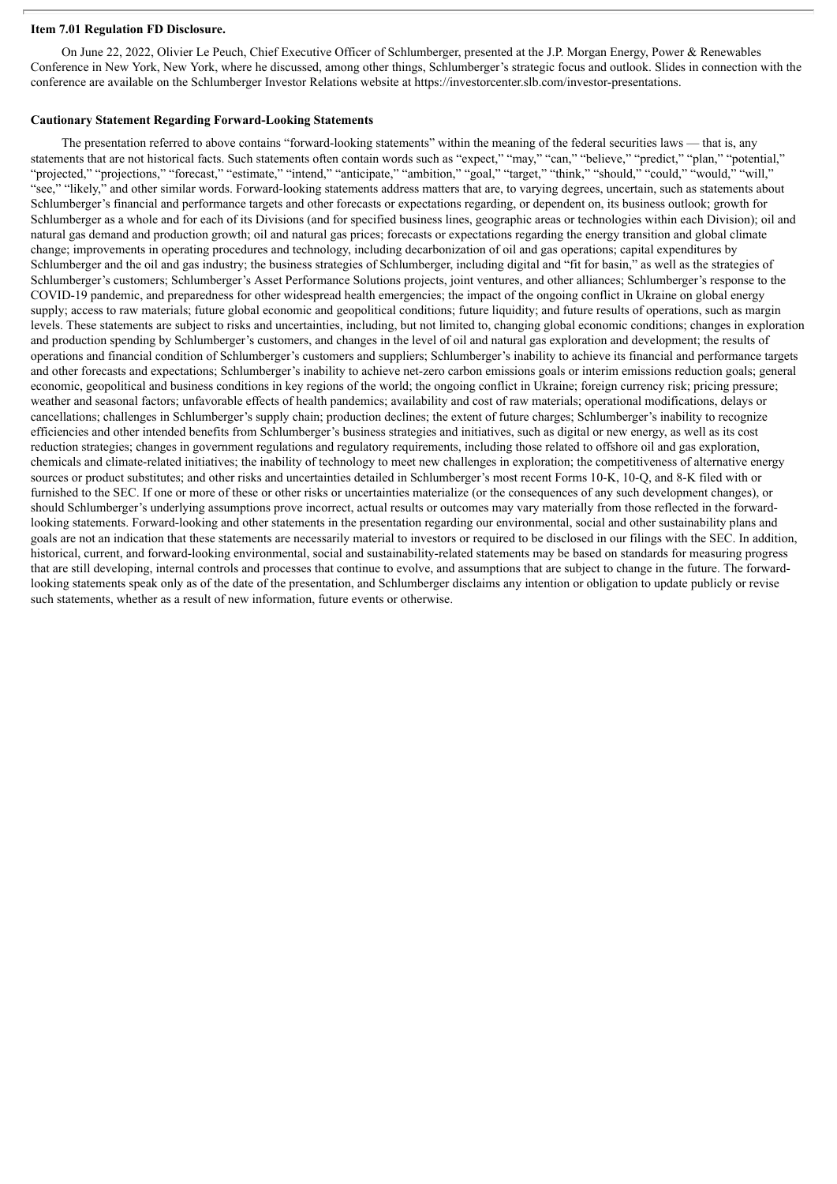#### **Item 7.01 Regulation FD Disclosure.**

On June 22, 2022, Olivier Le Peuch, Chief Executive Officer of Schlumberger, presented at the J.P. Morgan Energy, Power & Renewables Conference in New York, New York, where he discussed, among other things, Schlumberger's strategic focus and outlook. Slides in connection with the conference are available on the Schlumberger Investor Relations website at https://investorcenter.slb.com/investor-presentations.

#### **Cautionary Statement Regarding Forward-Looking Statements**

The presentation referred to above contains "forward-looking statements" within the meaning of the federal securities laws — that is, any statements that are not historical facts. Such statements often contain words such as "expect," "may," "can," "believe," "predict," "plan," "potential," "projected," "projections," "forecast," "estimate," "intend," "anticipate," "ambition," "goal," "target," "think," "should," "could," "would," "will," "see," "likely," and other similar words. Forward-looking statements address matters that are, to varying degrees, uncertain, such as statements about Schlumberger's financial and performance targets and other forecasts or expectations regarding, or dependent on, its business outlook; growth for Schlumberger as a whole and for each of its Divisions (and for specified business lines, geographic areas or technologies within each Division); oil and natural gas demand and production growth; oil and natural gas prices; forecasts or expectations regarding the energy transition and global climate change; improvements in operating procedures and technology, including decarbonization of oil and gas operations; capital expenditures by Schlumberger and the oil and gas industry; the business strategies of Schlumberger, including digital and "fit for basin," as well as the strategies of Schlumberger's customers; Schlumberger's Asset Performance Solutions projects, joint ventures, and other alliances; Schlumberger's response to the COVID-19 pandemic, and preparedness for other widespread health emergencies; the impact of the ongoing conflict in Ukraine on global energy supply; access to raw materials; future global economic and geopolitical conditions; future liquidity; and future results of operations, such as margin levels. These statements are subject to risks and uncertainties, including, but not limited to, changing global economic conditions; changes in exploration and production spending by Schlumberger's customers, and changes in the level of oil and natural gas exploration and development; the results of operations and financial condition of Schlumberger's customers and suppliers; Schlumberger's inability to achieve its financial and performance targets and other forecasts and expectations; Schlumberger's inability to achieve net-zero carbon emissions goals or interim emissions reduction goals; general economic, geopolitical and business conditions in key regions of the world; the ongoing conflict in Ukraine; foreign currency risk; pricing pressure; weather and seasonal factors; unfavorable effects of health pandemics; availability and cost of raw materials; operational modifications, delays or cancellations; challenges in Schlumberger's supply chain; production declines; the extent of future charges; Schlumberger's inability to recognize efficiencies and other intended benefits from Schlumberger's business strategies and initiatives, such as digital or new energy, as well as its cost reduction strategies; changes in government regulations and regulatory requirements, including those related to offshore oil and gas exploration, chemicals and climate-related initiatives; the inability of technology to meet new challenges in exploration; the competitiveness of alternative energy sources or product substitutes; and other risks and uncertainties detailed in Schlumberger's most recent Forms 10-K, 10-Q, and 8-K filed with or furnished to the SEC. If one or more of these or other risks or uncertainties materialize (or the consequences of any such development changes), or should Schlumberger's underlying assumptions prove incorrect, actual results or outcomes may vary materially from those reflected in the forwardlooking statements. Forward-looking and other statements in the presentation regarding our environmental, social and other sustainability plans and goals are not an indication that these statements are necessarily material to investors or required to be disclosed in our filings with the SEC. In addition, historical, current, and forward-looking environmental, social and sustainability-related statements may be based on standards for measuring progress that are still developing, internal controls and processes that continue to evolve, and assumptions that are subject to change in the future. The forwardlooking statements speak only as of the date of the presentation, and Schlumberger disclaims any intention or obligation to update publicly or revise such statements, whether as a result of new information, future events or otherwise.